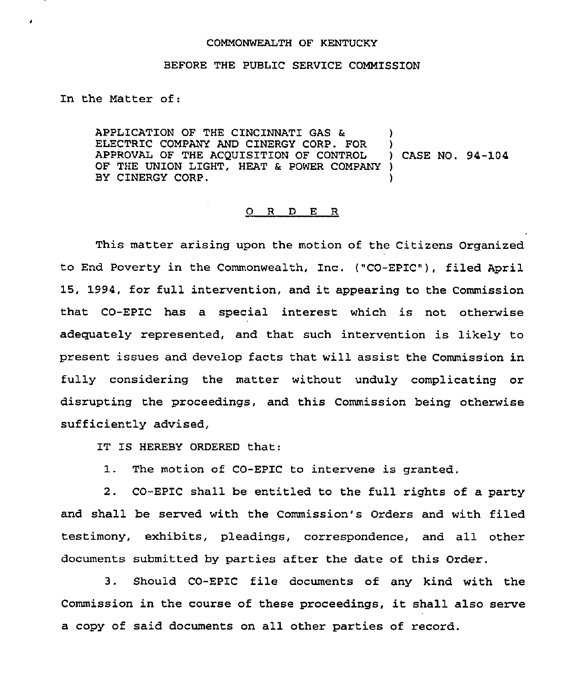## COMMONWEALTH OF KENTUCKY

## BEFORE THE PUBLIC SERVICE COMMISSION

In the Matter of:

APPLICATION OF THE CINCINNATI GAS & ELECTRIC COMPANY AND CINERGY CORP. FOR APPROVAL OF THE ACQUISITION QF CONTROL OF THE UNION LIGHT, HEAT & POWER COMPANY ) BY CINERGY CORP. ) ) ) CASE NO. 94-104 )

## 0 R <sup>D</sup> E R

This matter arising upon the motion of the Citizens Organized to End Poverty in the Commonwealth, Inc. ("CO-EPIC" ), filed April 15, 1994, for full intervention, and it appearing to the Commission that CO-EPIC has a special interest which is not otherwise adequately represented, and that such intervention is likely to present issues and develop facts that will assist the Commission in fully considering the matter without unduly complicating or disrupting the proceedings, and this Commission being otherwise sufficiently advised,

IT IS HEREBY ORDERED that:

1. The motion of CO-EPIC to intervene is granted.

2. CO-EPIC shall be entitled to the full rights of a party and shall be served with the Commission's Orders and with filed testimony, exhibits, pleadings, correspondence, and all other documents submitted by parties after the date of this Order.

3. Should CO-EPIC file documents of any kind with the Commission in the course of these proceedings, it shall also serve a copy of said documents on all other parties of record.